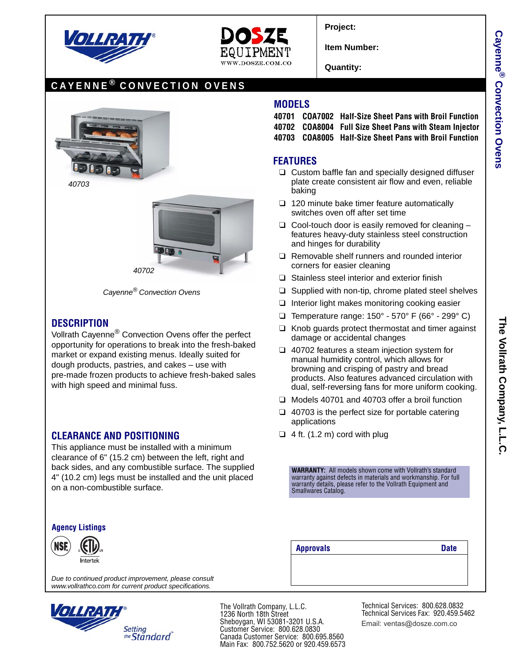



**Project:**

**Item Number:**

**Quantity:**

# **CAYENNE ® CONVECTION OVENS**



*40703*



*Cayenne® Convection Ovens*

### **DESCRIPTION**

Vollrath Cayenne® Convection Ovens offer the perfect opportunity for operations to break into the fresh-baked market or expand existing menus. Ideally suited for dough products, pastries, and cakes – use with pre-made frozen products to achieve fresh-baked sales with high speed and minimal fuss.

#### **CLEARANCE AND POSITIONING**

This appliance must be installed with a minimum clearance of 6" (15.2 cm) between the left, right and back sides, and any combustible surface. The supplied 4" (10.2 cm) legs must be installed and the unit placed on a non-combustible surface.

#### **Agency Listings**



*Due to continued product improvement, please consult www.vollrathco.com for current product specifications.*



The Vollrath Company, L.L.C. 1236 North 18th Street Sheboygan, WI 53081-3201 U.S.A. Customer Service: 800.628.0830 Canada Customer Service: 800.695.8560 Main Fax: 800.752.5620 or 920.459.6573

**MODELS**

**40701 COA7002 Half-Size Sheet Pans with Broil Function**

- **40702 COA8004 Full Size Sheet Pans with Steam Injector**
- **40703 COA8005 Half-Size Sheet Pans with Broil Function**

## **FEATURES**

- ❑ Custom baffle fan and specially designed diffuser plate create consistent air flow and even, reliable baking
- ❑ 120 minute bake timer feature automatically switches oven off after set time
- $\Box$  Cool-touch door is easily removed for cleaning  $$ features heavy-duty stainless steel construction and hinges for durability
- ❑ Removable shelf runners and rounded interior corners for easier cleaning
- ❑ Stainless steel interior and exterior finish
- ❑ Supplied with non-tip, chrome plated steel shelves
- ❑ Interior light makes monitoring cooking easier
- ❑ Temperature range: 150° 570° F (66° 299° C)
- ❑ Knob guards protect thermostat and timer against damage or accidental changes
- ❑ 40702 features a steam injection system for manual humidity control, which allows for browning and crisping of pastry and bread products. Also features advanced circulation with dual, self-reversing fans for more uniform cooking.
- ❑ Models 40701 and 40703 offer a broil function
- $\Box$  40703 is the perfect size for portable catering applications
- $\Box$  4 ft. (1.2 m) cord with plug

**WARRANTY:** All models shown come with Vollrath's standard warranty against defects in materials and workmanship. For full warranty details, please refer to the Vollrath Equipment and Smallwares Catalog.

**Approvals Date**

Technical Services: 800.628.0832 Technical Services Fax: 920.459.5462 Email: ventas@dosze.com.co